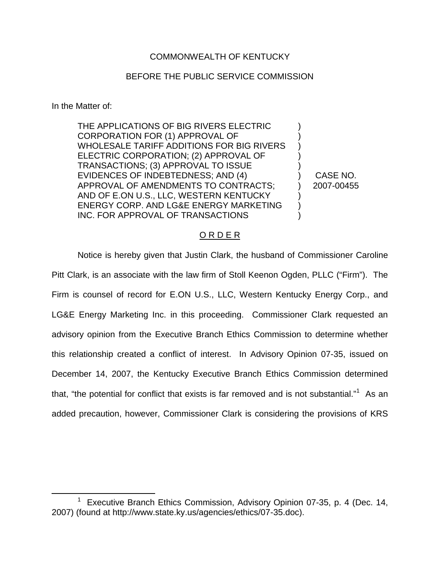## COMMONWEALTH OF KENTUCKY

## BEFORE THE PUBLIC SERVICE COMMISSION

In the Matter of:

THE APPLICATIONS OF BIG RIVERS ELECTRIC CORPORATION FOR (1) APPROVAL OF WHOLESALE TARIFF ADDITIONS FOR BIG RIVERS ELECTRIC CORPORATION; (2) APPROVAL OF TRANSACTIONS; (3) APPROVAL TO ISSUE EVIDENCES OF INDEBTEDNESS; AND (4) APPROVAL OF AMENDMENTS TO CONTRACTS; AND OF E.ON U.S., LLC, WESTERN KENTUCKY ENERGY CORP. AND LG&E ENERGY MARKETING INC. FOR APPROVAL OF TRANSACTIONS

) CASE NO. ) 2007-00455

) ) ) ) )

) ) )

## O R D E R

Notice is hereby given that Justin Clark, the husband of Commissioner Caroline Pitt Clark, is an associate with the law firm of Stoll Keenon Ogden, PLLC ("Firm"). The Firm is counsel of record for E.ON U.S., LLC, Western Kentucky Energy Corp., and LG&E Energy Marketing Inc. in this proceeding. Commissioner Clark requested an advisory opinion from the Executive Branch Ethics Commission to determine whether this relationship created a conflict of interest. In Advisory Opinion 07-35, issued on December 14, 2007, the Kentucky Executive Branch Ethics Commission determined that, "the potential for conflict that exists is far removed and is not substantial."<sup>1</sup> As an added precaution, however, Commissioner Clark is considering the provisions of KRS

 $1$  Executive Branch Ethics Commission, Advisory Opinion 07-35, p. 4 (Dec. 14, 2007) (found at http://www.state.ky.us/agencies/ethics/07-35.doc).